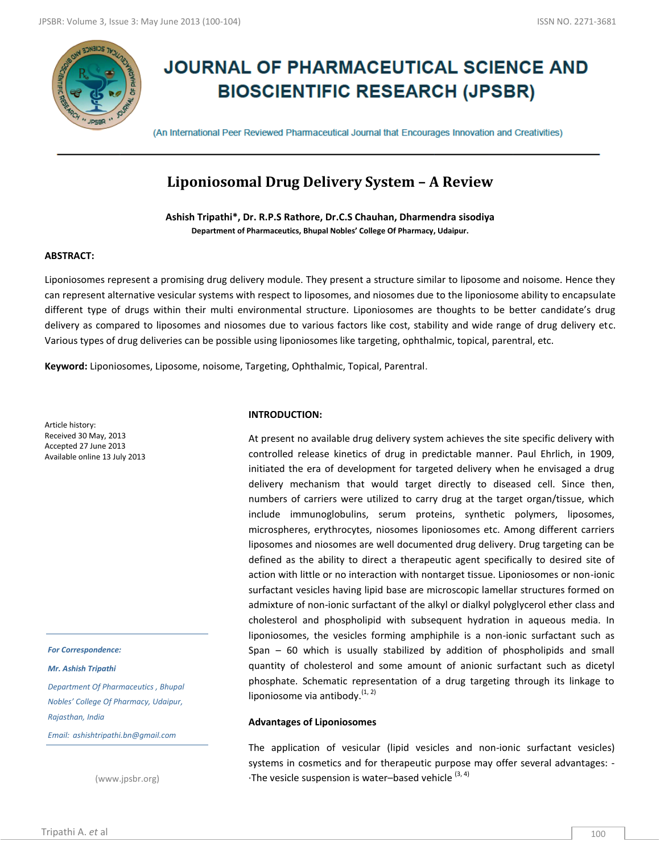

# **JOURNAL OF PHARMACEUTICAL SCIENCE AND BIOSCIENTIFIC RESEARCH (JPSBR)**

(An International Peer Reviewed Pharmaceutical Journal that Encourages Innovation and Creativities)

# **Liponiosomal Drug Delivery System – A Review**

**Ashish Tripathi\*, Dr. R.P.S Rathore, Dr.C.S Chauhan, Dharmendra sisodiya Department of Pharmaceutics, Bhupal Nobles' College Of Pharmacy, Udaipur.**

# **ABSTRACT:**

Liponiosomes represent a promising drug delivery module. They present a structure similar to liposome and noisome. Hence they can represent alternative vesicular systems with respect to liposomes, and niosomes due to the liponiosome ability to encapsulate different type of drugs within their multi environmental structure. Liponiosomes are thoughts to be better candidate's drug delivery as compared to liposomes and niosomes due to various factors like cost, stability and wide range of drug delivery etc. Various types of drug deliveries can be possible using liponiosomes like targeting, ophthalmic, topical, parentral, etc.

**Keyword:** Liponiosomes, Liposome, noisome, Targeting, Ophthalmic, Topical, Parentral.

Article history: Received 30 May, 2013 Accepted 27 June 2013 Available online 13 July 2013

#### *For Correspondence:*

#### *Mr. Ashish Tripathi*

*Department Of Pharmaceutics , Bhupal Nobles' College Of Pharmacy, Udaipur, Rajasthan, India*

*Email: ashishtripathi.bn@gmail.com*

(www.jpsbr.org)

# **INTRODUCTION:**

At present no available drug delivery system achieves the site specific delivery with controlled release kinetics of drug in predictable manner. Paul Ehrlich, in 1909, initiated the era of development for targeted delivery when he envisaged a drug delivery mechanism that would target directly to diseased cell. Since then, numbers of carriers were utilized to carry drug at the target organ/tissue, which include immunoglobulins, serum proteins, synthetic polymers, liposomes, microspheres, erythrocytes, niosomes liponiosomes etc. Among different carriers liposomes and niosomes are well documented drug delivery. Drug targeting can be defined as the ability to direct a therapeutic agent specifically to desired site of action with little or no interaction with nontarget tissue. Liponiosomes or non-ionic surfactant vesicles having lipid base are microscopic lamellar structures formed on admixture of non-ionic surfactant of the alkyl or dialkyl polyglycerol ether class and cholesterol and phospholipid with subsequent hydration in aqueous media. In liponiosomes, the vesicles forming amphiphile is a non-ionic surfactant such as Span – 60 which is usually stabilized by addition of phospholipids and small quantity of cholesterol and some amount of anionic surfactant such as dicetyl phosphate. Schematic representation of a drug targeting through its linkage to liponiosome via antibody. $(1, 2)$ 

# **Advantages of Liponiosomes**

The application of vesicular (lipid vesicles and non-ionic surfactant vesicles) systems in cosmetics and for therapeutic purpose may offer several advantages: -  $\cdot$ The vesicle suspension is water–based vehicle  $(3, 4)$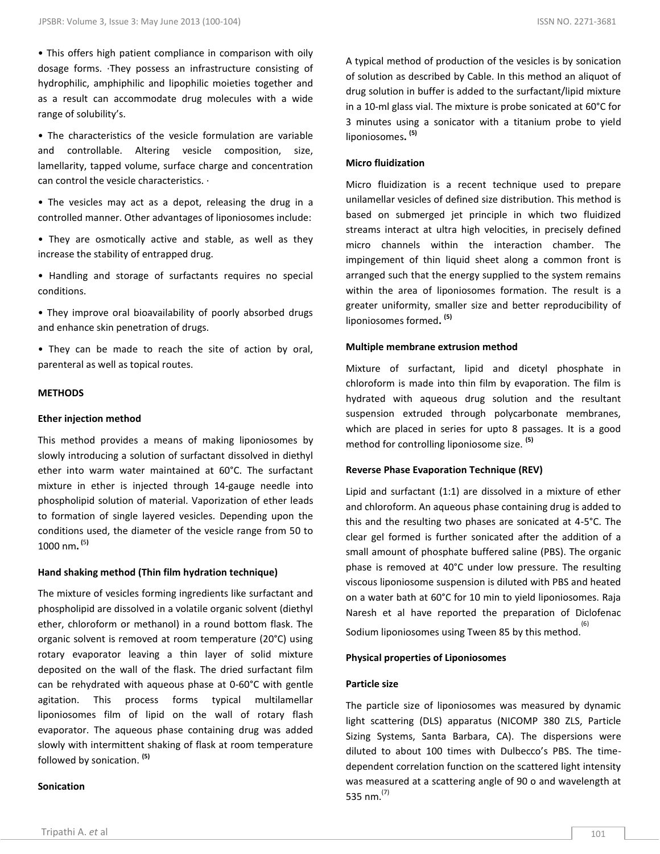• This offers high patient compliance in comparison with oily dosage forms. ·They possess an infrastructure consisting of hydrophilic, amphiphilic and lipophilic moieties together and as a result can accommodate drug molecules with a wide range of solubility's.

• The characteristics of the vesicle formulation are variable and controllable. Altering vesicle composition, size, lamellarity, tapped volume, surface charge and concentration can control the vesicle characteristics. ·

• The vesicles may act as a depot, releasing the drug in a controlled manner. Other advantages of liponiosomes include:

- They are osmotically active and stable, as well as they increase the stability of entrapped drug.
- Handling and storage of surfactants requires no special conditions.
- They improve oral bioavailability of poorly absorbed drugs and enhance skin penetration of drugs.

• They can be made to reach the site of action by oral, parenteral as well as topical routes.

#### **METHODS**

#### **Ether injection method**

This method provides a means of making liponiosomes by slowly introducing a solution of surfactant dissolved in diethyl ether into warm water maintained at 60°C. The surfactant mixture in ether is injected through 14-gauge needle into phospholipid solution of material. Vaporization of ether leads to formation of single layered vesicles. Depending upon the conditions used, the diameter of the vesicle range from 50 to 1000 nm**. (**5**)** 

# **Hand shaking method (Thin film hydration technique)**

The mixture of vesicles forming ingredients like surfactant and phospholipid are dissolved in a volatile organic solvent (diethyl ether, chloroform or methanol) in a round bottom flask. The organic solvent is removed at room temperature (20°C) using rotary evaporator leaving a thin layer of solid mixture deposited on the wall of the flask. The dried surfactant film can be rehydrated with aqueous phase at 0-60°C with gentle agitation. This process forms typical multilamellar liponiosomes film of lipid on the wall of rotary flash evaporator. The aqueous phase containing drug was added slowly with intermittent shaking of flask at room temperature followed by sonication. **(5)**

#### **Sonication**

A typical method of production of the vesicles is by sonication of solution as described by Cable. In this method an aliquot of drug solution in buffer is added to the surfactant/lipid mixture in a 10-ml glass vial. The mixture is probe sonicated at 60°C for 3 minutes using a sonicator with a titanium probe to yield liponiosomes**. (5)**

# **Micro fluidization**

Micro fluidization is a recent technique used to prepare unilamellar vesicles of defined size distribution. This method is based on submerged jet principle in which two fluidized streams interact at ultra high velocities, in precisely defined micro channels within the interaction chamber. The impingement of thin liquid sheet along a common front is arranged such that the energy supplied to the system remains within the area of liponiosomes formation. The result is a greater uniformity, smaller size and better reproducibility of liponiosomes formed**. (5)**

#### **Multiple membrane extrusion method**

Mixture of surfactant, lipid and dicetyl phosphate in chloroform is made into thin film by evaporation. The film is hydrated with aqueous drug solution and the resultant suspension extruded through polycarbonate membranes, which are placed in series for upto 8 passages. It is a good method for controlling liponiosome size. **(5)**

#### **Reverse Phase Evaporation Technique (REV)**

Lipid and surfactant (1:1) are dissolved in a mixture of ether and chloroform. An aqueous phase containing drug is added to this and the resulting two phases are sonicated at 4-5°C. The clear gel formed is further sonicated after the addition of a small amount of phosphate buffered saline (PBS). The organic phase is removed at 40°C under low pressure. The resulting viscous liponiosome suspension is diluted with PBS and heated on a water bath at 60°C for 10 min to yield liponiosomes. Raja Naresh et al have reported the preparation of Diclofenac Sodium liponiosomes using Tween 85 by this method. (6)

# **Physical properties of Liponiosomes**

#### **Particle size**

The particle size of liponiosomes was measured by dynamic light scattering (DLS) apparatus (NICOMP 380 ZLS, Particle Sizing Systems, Santa Barbara, CA). The dispersions were diluted to about 100 times with Dulbecco's PBS. The timedependent correlation function on the scattered light intensity was measured at a scattering angle of 90 o and wavelength at 535 nm. $^{(7)}$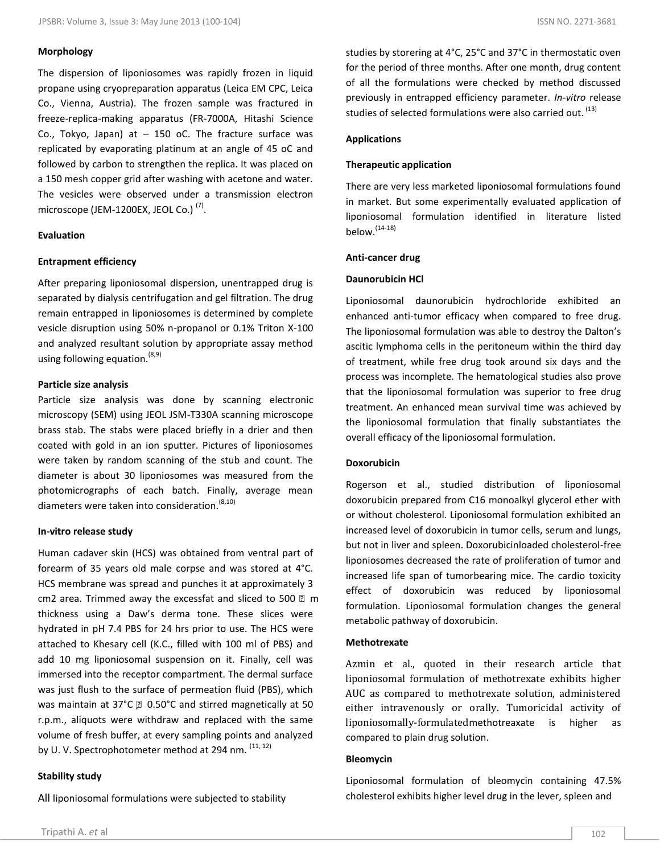# **Morphology**

The dispersion of liponiosomes was rapidly frozen in liquid propane using cryopreparation apparatus (Leica EM CPC, Leica Co., Vienna, Austria). The frozen sample was fractured in freeze-replica-making apparatus (FR-7000A, Hitashi Science Co., Tokyo, Japan) at  $-$  150 oC. The fracture surface was replicated by evaporating platinum at an angle of 45 oC and followed by carbon to strengthen the replica. It was placed on a 150 mesh copper grid after washing with acetone and water. The vesicles were observed under a transmission electron microscope (JEM-1200EX, JEOL Co.) $^{(7)}$ .

### **Evaluation**

# **Entrapment efficiency**

After preparing liponiosomal dispersion, unentrapped drug is separated by dialysis centrifugation and gel filtration. The drug remain entrapped in liponiosomes is determined by complete vesicle disruption using 50% n-propanol or 0.1% Triton X-100 and analyzed resultant solution by appropriate assay method using following equation.  $(8,9)$ 

# **Particle size analysis**

Particle size analysis was done by scanning electronic microscopy (SEM) using JEOL JSM-T330A scanning microscope brass stab. The stabs were placed briefly in a drier and then coated with gold in an ion sputter. Pictures of liponiosomes were taken by random scanning of the stub and count. The diameter is about 30 liponiosomes was measured from the photomicrographs of each batch. Finally, average mean diameters were taken into consideration.  $(8,10)$ 

## **In-vitro release study**

Human cadaver skin (HCS) was obtained from ventral part of forearm of 35 years old male corpse and was stored at 4°C. HCS membrane was spread and punches it at approximately 3 cm2 area. Trimmed away the excessfat and sliced to 500 2 m thickness using a Daw's derma tone. These slices were hydrated in pH 7.4 PBS for 24 hrs prior to use. The HCS were attached to Khesary cell (K.C., filled with 100 ml of PBS) and add 10 mg liponiosomal suspension on it. Finally, cell was immersed into the receptor compartment. The dermal surface was just flush to the surface of permeation fluid (PBS), which was maintain at 37°C 2 0.50°C and stirred magnetically at 50 r.p.m., aliquots were withdraw and replaced with the same volume of fresh buffer, at every sampling points and analyzed by U. V. Spectrophotometer method at 294 nm.  $(11, 12)$ 

# **Stability study**

All liponiosomal formulations were subjected to stability

studies by storering at 4°C, 25°C and 37°C in thermostatic oven for the period of three months. After one month, drug content of all the formulations were checked by method discussed previously in entrapped efficiency parameter. *In-vitro* release studies of selected formulations were also carried out. <sup>(13)</sup>

# **Applications**

#### **Therapeutic application**

There are very less marketed liponiosomal formulations found in market. But some experimentally evaluated application of liponiosomal formulation identified in literature listed below. $(14-18)$ 

#### **Anti-cancer drug**

#### **Daunorubicin HCl**

Liponiosomal daunorubicin hydrochloride exhibited an enhanced anti-tumor efficacy when compared to free drug. The liponiosomal formulation was able to destroy the Dalton's ascitic lymphoma cells in the peritoneum within the third day of treatment, while free drug took around six days and the process was incomplete. The hematological studies also prove that the liponiosomal formulation was superior to free drug treatment. An enhanced mean survival time was achieved by the liponiosomal formulation that finally substantiates the overall efficacy of the liponiosomal formulation.

# **Doxorubicin**

Rogerson et al., studied distribution of liponiosomal doxorubicin prepared from C16 monoalkyl glycerol ether with or without cholesterol. Liponiosomal formulation exhibited an increased level of doxorubicin in tumor cells, serum and lungs, but not in liver and spleen. Doxorubicinloaded cholesterol-free liponiosomes decreased the rate of proliferation of tumor and increased life span of tumorbearing mice. The cardio toxicity effect of doxorubicin was reduced by liponiosomal formulation. Liponiosomal formulation changes the general metabolic pathway of doxorubicin.

#### **Methotrexate**

Azmin et al., quoted in their research article that liponiosomal formulation of methotrexate exhibits higher AUC as compared to methotrexate solution, administered either intravenously or orally. Tumoricidal activity of liponiosomally-formulatedmethotreaxate is higher as compared to plain drug solution.

#### **Bleomycin**

Liponiosomal formulation of bleomycin containing 47.5% cholesterol exhibits higher level drug in the lever, spleen and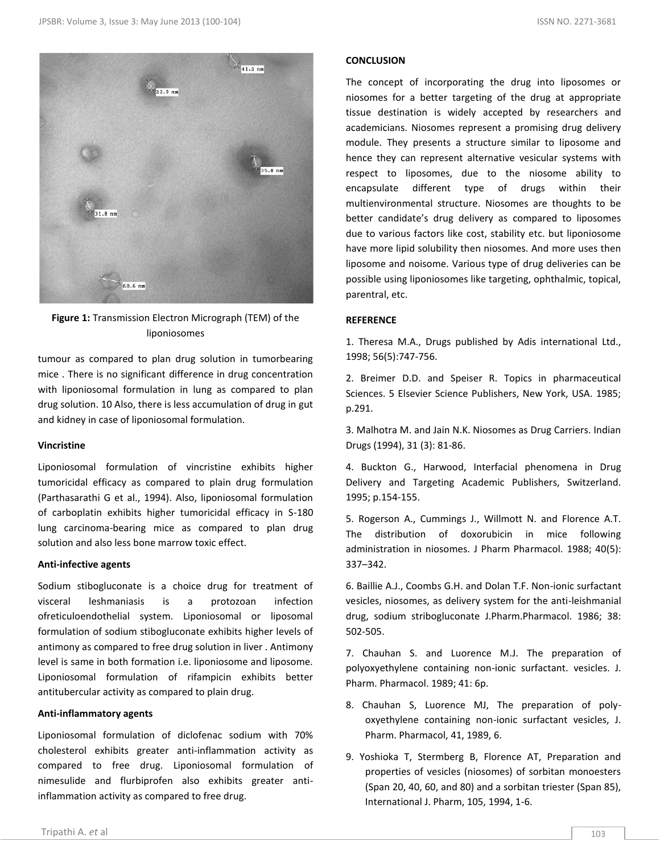

**Figure 1:** Transmission Electron Micrograph (TEM) of the liponiosomes

tumour as compared to plan drug solution in tumorbearing mice . There is no significant difference in drug concentration with liponiosomal formulation in lung as compared to plan drug solution. 10 Also, there is less accumulation of drug in gut and kidney in case of liponiosomal formulation.

# **Vincristine**

Liponiosomal formulation of vincristine exhibits higher tumoricidal efficacy as compared to plain drug formulation (Parthasarathi G et al., 1994). Also, liponiosomal formulation of carboplatin exhibits higher tumoricidal efficacy in S-180 lung carcinoma-bearing mice as compared to plan drug solution and also less bone marrow toxic effect.

# **Anti-infective agents**

Sodium stibogluconate is a choice drug for treatment of visceral leshmaniasis is a protozoan infection ofreticuloendothelial system. Liponiosomal or liposomal formulation of sodium stibogluconate exhibits higher levels of antimony as compared to free drug solution in liver . Antimony level is same in both formation i.e. liponiosome and liposome. Liponiosomal formulation of rifampicin exhibits better antitubercular activity as compared to plain drug.

# **Anti-inflammatory agents**

Liponiosomal formulation of diclofenac sodium with 70% cholesterol exhibits greater anti-inflammation activity as compared to free drug. Liponiosomal formulation of nimesulide and flurbiprofen also exhibits greater antiinflammation activity as compared to free drug.

# **CONCLUSION**

The concept of incorporating the drug into liposomes or niosomes for a better targeting of the drug at appropriate tissue destination is widely accepted by researchers and academicians. Niosomes represent a promising drug delivery module. They presents a structure similar to liposome and hence they can represent alternative vesicular systems with respect to liposomes, due to the niosome ability to encapsulate different type of drugs within their multienvironmental structure. Niosomes are thoughts to be better candidate's drug delivery as compared to liposomes due to various factors like cost, stability etc. but liponiosome have more lipid solubility then niosomes. And more uses then liposome and noisome. Various type of drug deliveries can be possible using liponiosomes like targeting, ophthalmic, topical, parentral, etc.

# **REFERENCE**

1. Theresa M.A., Drugs published by Adis international Ltd., 1998; 56(5):747-756.

2. Breimer D.D. and Speiser R. Topics in pharmaceutical Sciences. 5 Elsevier Science Publishers, New York, USA. 1985; p.291.

3. Malhotra M. and Jain N.K. Niosomes as Drug Carriers. Indian Drugs (1994), 31 (3): 81-86.

4. Buckton G., Harwood, Interfacial phenomena in Drug Delivery and Targeting Academic Publishers, Switzerland. 1995; p.154-155.

5. Rogerson A., Cummings J., Willmott N. and Florence A.T. The distribution of doxorubicin in mice following administration in niosomes. J Pharm Pharmacol. 1988; 40(5): 337–342.

6. Baillie A.J., Coombs G.H. and Dolan T.F. Non-ionic surfactant vesicles, niosomes, as delivery system for the anti-leishmanial drug, sodium stribogluconate J.Pharm.Pharmacol. 1986; 38: 502-505.

7. Chauhan S. and Luorence M.J. The preparation of polyoxyethylene containing non-ionic surfactant. vesicles. J. Pharm. Pharmacol. 1989; 41: 6p.

- 8. Chauhan S, Luorence MJ, The preparation of polyoxyethylene containing non-ionic surfactant vesicles, J. Pharm. Pharmacol, 41, 1989, 6.
- 9. Yoshioka T, Stermberg B, Florence AT, Preparation and properties of vesicles (niosomes) of sorbitan monoesters (Span 20, 40, 60, and 80) and a sorbitan triester (Span 85), International J. Pharm, 105, 1994, 1-6.